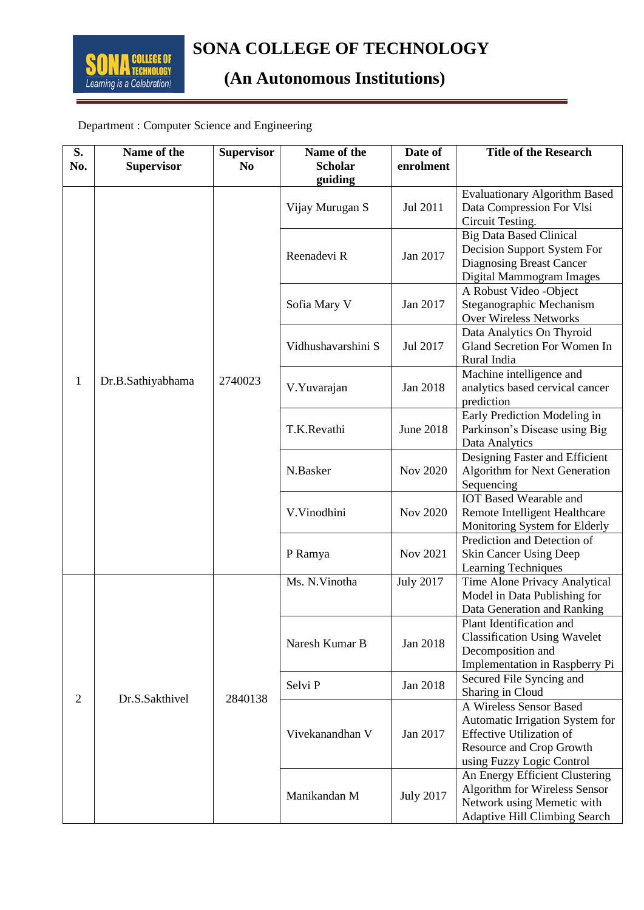## **(An Autonomous Institutions)**

## Department : Computer Science and Engineering

| S.<br>No.      | Name of the<br><b>Supervisor</b> | <b>Supervisor</b><br>N <sub>0</sub> | Name of the<br><b>Scholar</b> | Date of<br>enrolment | <b>Title of the Research</b>                                                                                                                           |
|----------------|----------------------------------|-------------------------------------|-------------------------------|----------------------|--------------------------------------------------------------------------------------------------------------------------------------------------------|
| $\mathbf{1}$   | Dr.B.Sathiyabhama                | 2740023                             | guiding<br>Vijay Murugan S    | Jul 2011             | <b>Evaluationary Algorithm Based</b><br>Data Compression For Vlsi<br>Circuit Testing.                                                                  |
|                |                                  |                                     | Reenadevi R                   | Jan 2017             | <b>Big Data Based Clinical</b><br>Decision Support System For<br>Diagnosing Breast Cancer<br>Digital Mammogram Images                                  |
|                |                                  |                                     | Sofia Mary V                  | Jan 2017             | A Robust Video - Object<br>Steganographic Mechanism<br>Over Wireless Networks                                                                          |
|                |                                  |                                     | Vidhushavarshini S            | Jul 2017             | Data Analytics On Thyroid<br>Gland Secretion For Women In<br>Rural India                                                                               |
|                |                                  |                                     | V.Yuvarajan                   | Jan 2018             | Machine intelligence and<br>analytics based cervical cancer<br>prediction                                                                              |
|                |                                  |                                     | T.K.Revathi                   | <b>June 2018</b>     | Early Prediction Modeling in<br>Parkinson's Disease using Big<br>Data Analytics                                                                        |
|                |                                  |                                     | N.Basker                      | Nov 2020             | Designing Faster and Efficient<br><b>Algorithm for Next Generation</b><br>Sequencing                                                                   |
|                |                                  |                                     | V.Vinodhini                   | Nov 2020             | <b>IOT Based Wearable and</b><br>Remote Intelligent Healthcare<br>Monitoring System for Elderly                                                        |
|                |                                  |                                     | P Ramya                       | Nov 2021             | Prediction and Detection of<br><b>Skin Cancer Using Deep</b><br>Learning Techniques                                                                    |
| $\overline{2}$ | Dr.S.Sakthivel                   | 2840138                             | Ms. N. Vinotha                | <b>July 2017</b>     | Time Alone Privacy Analytical<br>Model in Data Publishing for<br>Data Generation and Ranking                                                           |
|                |                                  |                                     | Naresh Kumar B                | Jan 2018             | Plant Identification and<br><b>Classification Using Wavelet</b><br>Decomposition and<br>Implementation in Raspberry Pi                                 |
|                |                                  |                                     | Selvi P                       | Jan 2018             | Secured File Syncing and<br>Sharing in Cloud                                                                                                           |
|                |                                  |                                     | Vivekanandhan V               | Jan 2017             | A Wireless Sensor Based<br>Automatic Irrigation System for<br><b>Effective Utilization of</b><br>Resource and Crop Growth<br>using Fuzzy Logic Control |
|                |                                  |                                     | Manikandan M                  | <b>July 2017</b>     | An Energy Efficient Clustering<br>Algorithm for Wireless Sensor<br>Network using Memetic with<br><b>Adaptive Hill Climbing Search</b>                  |